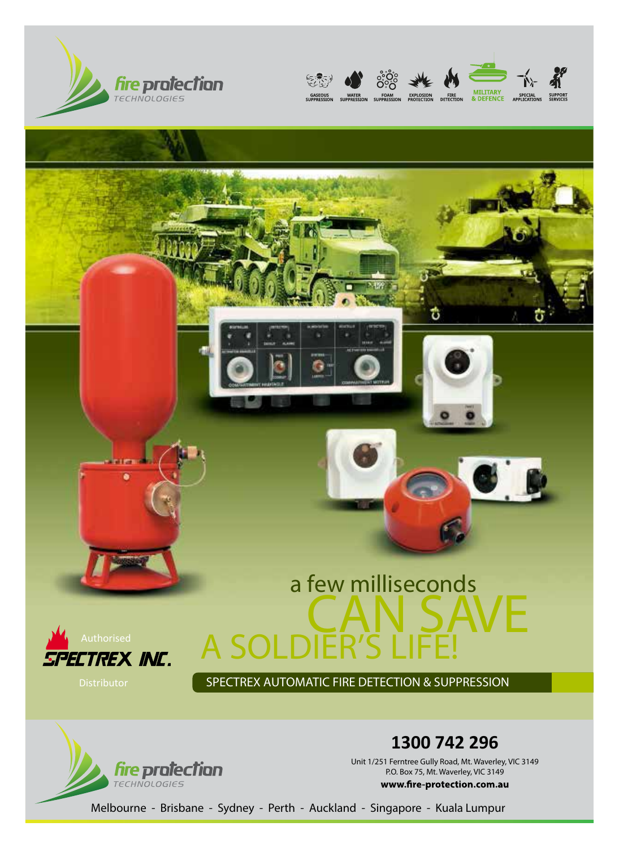







SPECTREX AUTOMATIC FIRE DETECTION & SUPPRESSION



**1300 742 296** 

Unit 1/251 Ferntree Gully Road, Mt. Waverley, VIC 3149 P.O. Box 75, Mt. Waverley, VIC 3149 www.fire-protection.com.au

Melbourne - Brisbane - Sydney - Perth - Auckland - Singapore - Kuala Lumpur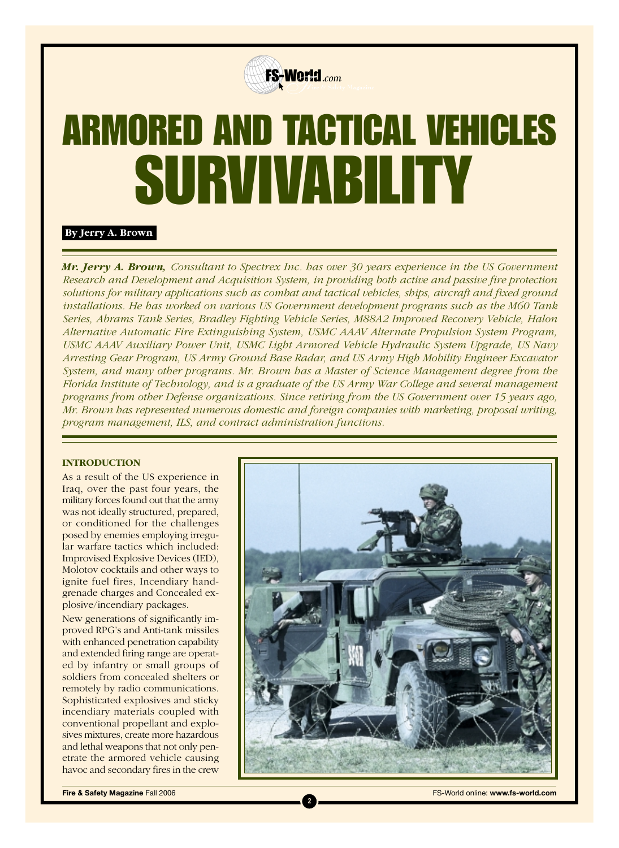

# ARMORED AND TACTICAL VEHICLES SURVIVABILITY

### **By Jerry A. Brown**

*Mr. Jerry A. Brown, Consultant to Spectrex Inc. has over 30 years experience in the US Government Research and Development and Acquisition System, in providing both active and passive fire protection solutions for military applications such as combat and tactical vehicles, ships, aircraft and fixed ground installations. He has worked on various US Government development programs such as the M60 Tank Series, Abrams Tank Series, Bradley Fighting Vehicle Series, M88A2 Improved Recovery Vehicle, Halon Alternative Automatic Fire Extinguishing System, USMC AAAV Alternate Propulsion System Program, USMC AAAV Auxiliary Power Unit, USMC Light Armored Vehicle Hydraulic System Upgrade, US Navy Arresting Gear Program, US Army Ground Base Radar, and US Army High Mobility Engineer Excavator System, and many other programs. Mr. Brown has a Master of Science Management degree from the Florida Institute of Technology, and is a graduate of the US Army War College and several management programs from other Defense organizations. Since retiring from the US Government over 15 years ago, Mr. Brown has represented numerous domestic and foreign companies with marketing, proposal writing, program management, ILS, and contract administration functions.*

**2**

#### **INTRODUCTION**

As a result of the US experience in Iraq, over the past four years, the military forces found out that the army was not ideally structured, prepared, or conditioned for the challenges posed by enemies employing irregular warfare tactics which included: Improvised Explosive Devices (IED), Molotov cocktails and other ways to ignite fuel fires, Incendiary handgrenade charges and Concealed explosive/incendiary packages.

New generations of significantly improved RPG's and Anti-tank missiles with enhanced penetration capability and extended firing range are operated by infantry or small groups of soldiers from concealed shelters or remotely by radio communications. Sophisticated explosives and sticky incendiary materials coupled with conventional propellant and explosives mixtures, create more hazardous and lethal weapons that not only penetrate the armored vehicle causing havoc and secondary fires in the crew



**Fire & Safety Magazine Fall 2006 FS-World online: www.fs-world.com**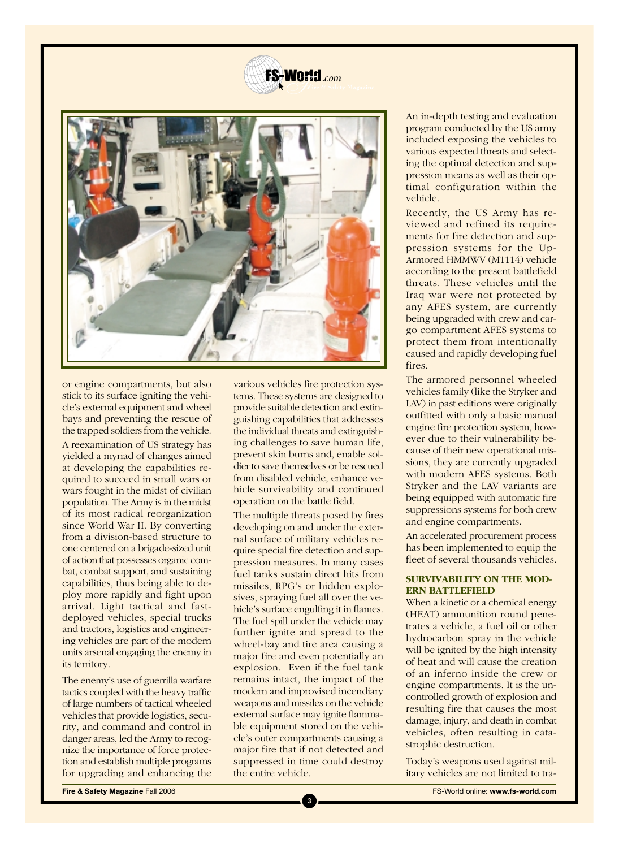



or engine compartments, but also stick to its surface igniting the vehicle's external equipment and wheel bays and preventing the rescue of the trapped soldiers from the vehicle.

A reexamination of US strategy has yielded a myriad of changes aimed at developing the capabilities required to succeed in small wars or wars fought in the midst of civilian population. The Army is in the midst of its most radical reorganization since World War II. By converting from a division-based structure to one centered on a brigade-sized unit of action that possesses organic combat, combat support, and sustaining capabilities, thus being able to deploy more rapidly and fight upon arrival. Light tactical and fastdeployed vehicles, special trucks and tractors, logistics and engineering vehicles are part of the modern units arsenal engaging the enemy in its territory.

The enemy's use of guerrilla warfare tactics coupled with the heavy traffic of large numbers of tactical wheeled vehicles that provide logistics, security, and command and control in danger areas, led the Army to recognize the importance of force protection and establish multiple programs for upgrading and enhancing the

various vehicles fire protection systems. These systems are designed to provide suitable detection and extinguishing capabilities that addresses the individual threats and extinguishing challenges to save human life, prevent skin burns and, enable soldier to save themselves or be rescued from disabled vehicle, enhance vehicle survivability and continued operation on the battle field.

The multiple threats posed by fires developing on and under the external surface of military vehicles require special fire detection and suppression measures. In many cases fuel tanks sustain direct hits from missiles, RPG's or hidden explosives, spraying fuel all over the vehicle's surface engulfing it in flames. The fuel spill under the vehicle may further ignite and spread to the wheel-bay and tire area causing a major fire and even potentially an explosion. Even if the fuel tank remains intact, the impact of the modern and improvised incendiary weapons and missiles on the vehicle external surface may ignite flammable equipment stored on the vehicle's outer compartments causing a major fire that if not detected and suppressed in time could destroy the entire vehicle.

**3**

An in-depth testing and evaluation program conducted by the US army included exposing the vehicles to various expected threats and selecting the optimal detection and suppression means as well as their optimal configuration within the vehicle.

Recently, the US Army has reviewed and refined its requirements for fire detection and suppression systems for the Up-Armored HMMWV (M1114) vehicle according to the present battlefield threats. These vehicles until the Iraq war were not protected by any AFES system, are currently being upgraded with crew and cargo compartment AFES systems to protect them from intentionally caused and rapidly developing fuel fires.

The armored personnel wheeled vehicles family (like the Stryker and LAV) in past editions were originally outfitted with only a basic manual engine fire protection system, however due to their vulnerability because of their new operational missions, they are currently upgraded with modern AFES systems. Both Stryker and the LAV variants are being equipped with automatic fire suppressions systems for both crew and engine compartments.

An accelerated procurement process has been implemented to equip the fleet of several thousands vehicles.

#### **SURVIVABILITY ON THE MOD-ERN BATTLEFIELD**

When a kinetic or a chemical energy (HEAT) ammunition round penetrates a vehicle, a fuel oil or other hydrocarbon spray in the vehicle will be ignited by the high intensity of heat and will cause the creation of an inferno inside the crew or engine compartments. It is the uncontrolled growth of explosion and resulting fire that causes the most damage, injury, and death in combat vehicles, often resulting in catastrophic destruction.

Today's weapons used against military vehicles are not limited to tra-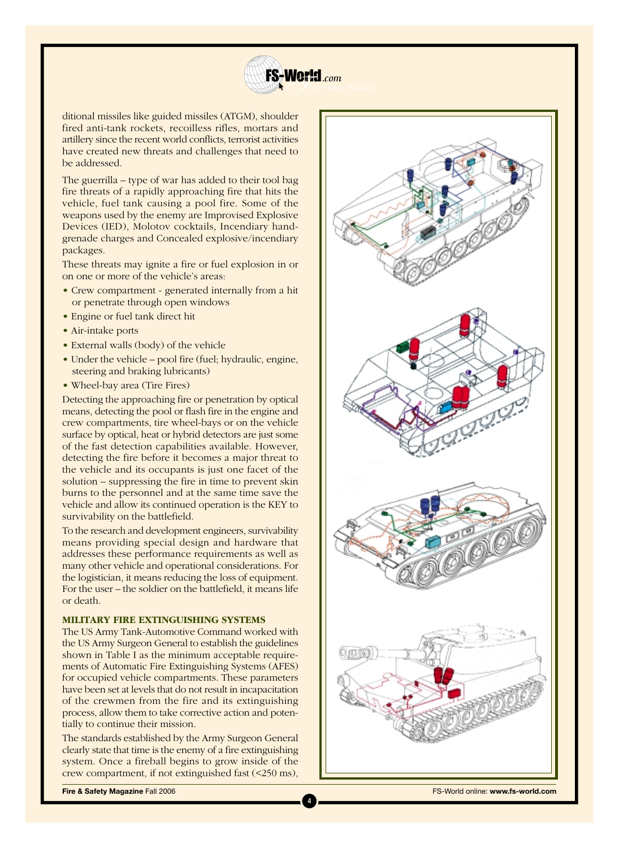

ditional missiles like guided missiles (ATGM), shoulder fired anti-tank rockets, recoilless rifles, mortars and artillery since the recent world conflicts, terrorist activities have created new threats and challenges that need to be addressed.

The guerrilla – type of war has added to their tool bag fire threats of a rapidly approaching fire that hits the vehicle, fuel tank causing a pool fire. Some of the weapons used by the enemy are Improvised Explosive Devices (IED), Molotov cocktails, Incendiary handgrenade charges and Concealed explosive/incendiary packages.

These threats may ignite a fire or fuel explosion in or on one or more of the vehicle's areas:

- Crew compartment generated internally from a hit or penetrate through open windows
- Engine or fuel tank direct hit
- Air-intake ports
- External walls (body) of the vehicle
- Under the vehicle pool fire (fuel; hydraulic, engine, steering and braking lubricants)
- Wheel-bay area (Tire Fires)

Detecting the approaching fire or penetration by optical means, detecting the pool or flash fire in the engine and crew compartments, tire wheel-bays or on the vehicle surface by optical, heat or hybrid detectors are just some of the fast detection capabilities available. However, detecting the fire before it becomes a major threat to the vehicle and its occupants is just one facet of the solution – suppressing the fire in time to prevent skin burns to the personnel and at the same time save the vehicle and allow its continued operation is the KEY to survivability on the battlefield.

To the research and development engineers, survivability means providing special design and hardware that addresses these performance requirements as well as many other vehicle and operational considerations. For the logistician, it means reducing the loss of equipment. For the user – the soldier on the battlefield, it means life or death.

#### **MILITARY FIRE EXTINGUISHING SYSTEMS**

The US Army Tank-Automotive Command worked with the US Army Surgeon General to establish the guidelines shown in Table I as the minimum acceptable requirements of Automatic Fire Extinguishing Systems (AFES) for occupied vehicle compartments. These parameters have been set at levels that do not result in incapacitation of the crewmen from the fire and its extinguishing process, allow them to take corrective action and potentially to continue their mission.

The standards established by the Army Surgeon General clearly state that time is the enemy of a fire extinguishing system. Once a fireball begins to grow inside of the crew compartment, if not extinguished fast (<250 ms),



**Fire & Safety Magazine Fall 2006** FS-World online: **www.fs-world.com**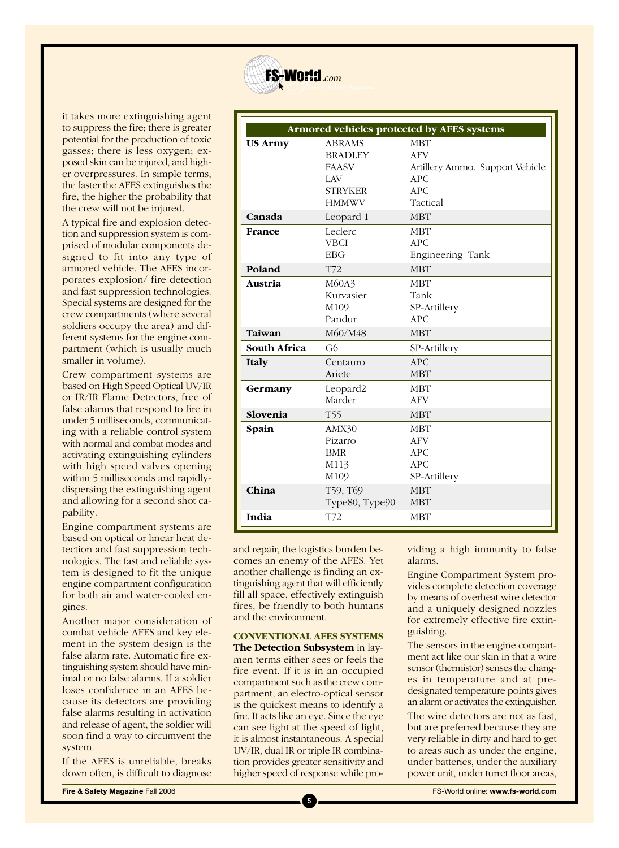

it takes more extinguishing agent to suppress the fire; there is greater potential for the production of toxic gasses; there is less oxygen; exposed skin can be injured, and higher overpressures. In simple terms, the faster the AFES extinguishes the fire, the higher the probability that the crew will not be injured.

A typical fire and explosion detection and suppression system is comprised of modular components designed to fit into any type of armored vehicle. The AFES incorporates explosion/ fire detection and fast suppression technologies. Special systems are designed for the crew compartments (where several soldiers occupy the area) and different systems for the engine compartment (which is usually much smaller in volume).

Crew compartment systems are based on High Speed Optical UV/IR or IR/IR Flame Detectors, free of false alarms that respond to fire in under 5 milliseconds, communicating with a reliable control system with normal and combat modes and activating extinguishing cylinders with high speed valves opening within 5 milliseconds and rapidlydispersing the extinguishing agent and allowing for a second shot capability.

Engine compartment systems are based on optical or linear heat detection and fast suppression technologies. The fast and reliable system is designed to fit the unique engine compartment configuration for both air and water-cooled engines.

Another major consideration of combat vehicle AFES and key element in the system design is the false alarm rate. Automatic fire extinguishing system should have minimal or no false alarms. If a soldier loses confidence in an AFES because its detectors are providing false alarms resulting in activation and release of agent, the soldier will soon find a way to circumvent the system.

If the AFES is unreliable, breaks down often, is difficult to diagnose

| Armored vehicles protected by AFES systems |                |                                 |
|--------------------------------------------|----------------|---------------------------------|
| <b>US Army</b>                             | <b>ABRAMS</b>  | <b>MBT</b>                      |
|                                            | <b>BRADLEY</b> | <b>AFV</b>                      |
|                                            | <b>FAASV</b>   | Artillery Ammo. Support Vehicle |
|                                            | LAV            | <b>APC</b>                      |
|                                            | <b>STRYKER</b> | <b>APC</b>                      |
|                                            | <b>HMMWV</b>   | Tactical                        |
| Canada                                     | Leopard 1      | <b>MBT</b>                      |
| France                                     | Leclerc        | <b>MBT</b>                      |
|                                            | <b>VBCI</b>    | <b>APC</b>                      |
|                                            | <b>EBG</b>     | Engineering Tank                |
| Poland                                     | T72            | <b>MBT</b>                      |
| Austria                                    | M60A3          | <b>MBT</b>                      |
|                                            | Kurvasier      | Tank                            |
|                                            | M109           | SP-Artillery                    |
|                                            | Pandur         | APC                             |
| Taiwan                                     | M60/M48        | <b>MBT</b>                      |
| <b>South Africa</b>                        | G <sub>6</sub> | SP-Artillery                    |
| <b>Italy</b>                               | Centauro       | APC                             |
|                                            | Ariete         | <b>MBT</b>                      |
| Germany                                    | Leopard2       | <b>MBT</b>                      |
|                                            | Marder         | <b>AFV</b>                      |
| Slovenia                                   | <b>T55</b>     | <b>MBT</b>                      |
| Spain                                      | AMX30          | <b>MBT</b>                      |
|                                            | Pizarro        | <b>AFV</b>                      |
|                                            | <b>BMR</b>     | <b>APC</b>                      |
|                                            | M113           | APC                             |
|                                            | M109           | SP-Artillery                    |
| China                                      | T59, T69       | <b>MBT</b>                      |
|                                            | Type80, Type90 | <b>MBT</b>                      |
| India                                      | T72            | <b>MBT</b>                      |

and repair, the logistics burden becomes an enemy of the AFES. Yet another challenge is finding an extinguishing agent that will efficiently fill all space, effectively extinguish fires, be friendly to both humans and the environment.

#### **CONVENTIONAL AFES SYSTEMS The Detection Subsystem** in lay-

men terms either sees or feels the fire event. If it is in an occupied compartment such as the crew compartment, an electro-optical sensor is the quickest means to identify a fire. It acts like an eye. Since the eye can see light at the speed of light, it is almost instantaneous. A special UV/IR, dual IR or triple IR combination provides greater sensitivity and higher speed of response while providing a high immunity to false alarms.

Engine Compartment System provides complete detection coverage by means of overheat wire detector and a uniquely designed nozzles for extremely effective fire extinguishing.

The sensors in the engine compartment act like our skin in that a wire sensor (thermistor) senses the changes in temperature and at predesignated temperature points gives an alarm or activates the extinguisher.

The wire detectors are not as fast, but are preferred because they are very reliable in dirty and hard to get to areas such as under the engine, under batteries, under the auxiliary power unit, under turret floor areas,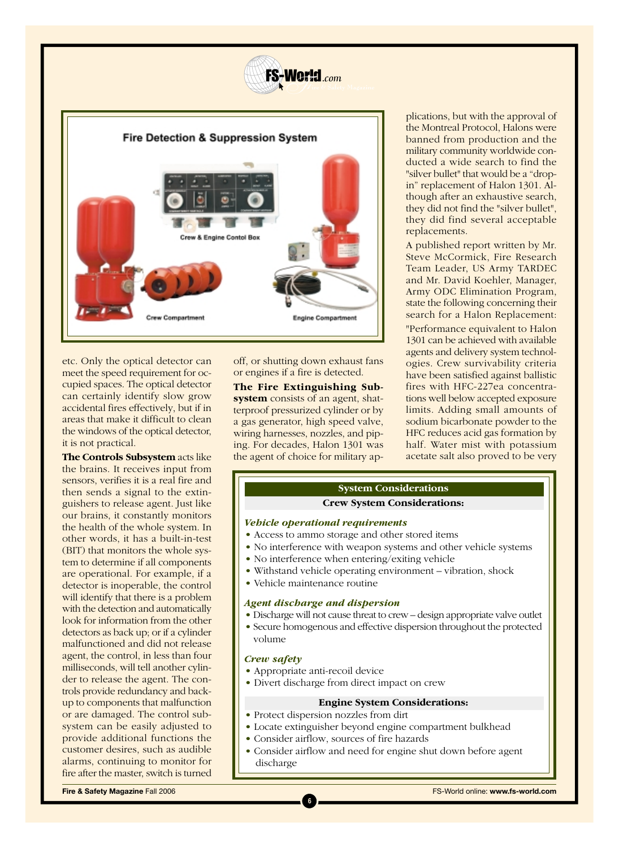



etc. Only the optical detector can meet the speed requirement for occupied spaces. The optical detector can certainly identify slow grow accidental fires effectively, but if in areas that make it difficult to clean the windows of the optical detector, it is not practical.

**The Controls Subsystem** acts like the brains. It receives input from sensors, verifies it is a real fire and then sends a signal to the extinguishers to release agent. Just like our brains, it constantly monitors the health of the whole system. In other words, it has a built-in-test (BIT) that monitors the whole system to determine if all components are operational. For example, if a detector is inoperable, the control will identify that there is a problem with the detection and automatically look for information from the other detectors as back up; or if a cylinder malfunctioned and did not release agent, the control, in less than four milliseconds, will tell another cylinder to release the agent. The controls provide redundancy and backup to components that malfunction or are damaged. The control subsystem can be easily adjusted to provide additional functions the customer desires, such as audible alarms, continuing to monitor for fire after the master, switch is turned

off, or shutting down exhaust fans or engines if a fire is detected.

**The Fire Extinguishing Subsystem** consists of an agent, shatterproof pressurized cylinder or by a gas generator, high speed valve, wiring harnesses, nozzles, and piping. For decades, Halon 1301 was the agent of choice for military ap-

plications, but with the approval of the Montreal Protocol, Halons were banned from production and the military community worldwide conducted a wide search to find the "silver bullet" that would be a "dropin" replacement of Halon 1301. Although after an exhaustive search, they did not find the "silver bullet", they did find several acceptable replacements.

A published report written by Mr. Steve McCormick, Fire Research Team Leader, US Army TARDEC and Mr. David Koehler, Manager, Army ODC Elimination Program, state the following concerning their search for a Halon Replacement: "Performance equivalent to Halon 1301 can be achieved with available agents and delivery system technologies. Crew survivability criteria have been satisfied against ballistic fires with HFC-227ea concentrations well below accepted exposure limits. Adding small amounts of sodium bicarbonate powder to the HFC reduces acid gas formation by half. Water mist with potassium acetate salt also proved to be very

## **System Considerations**

#### **Crew System Considerations:**

#### *Vehicle operational requirements*

- Access to ammo storage and other stored items
- No interference with weapon systems and other vehicle systems
- No interference when entering/exiting vehicle
- Withstand vehicle operating environment vibration, shock
- Vehicle maintenance routine

#### *Agent discharge and dispersion*

- Discharge will not cause threat to crew design appropriate valve outlet
- Secure homogenous and effective dispersion throughout the protected volume

#### *Crew safety*

• Appropriate anti-recoil device

**6**

• Divert discharge from direct impact on crew

#### **Engine System Considerations:**

- Protect dispersion nozzles from dirt
- Locate extinguisher beyond engine compartment bulkhead
- Consider airflow, sources of fire hazards
- Consider airflow and need for engine shut down before agent discharge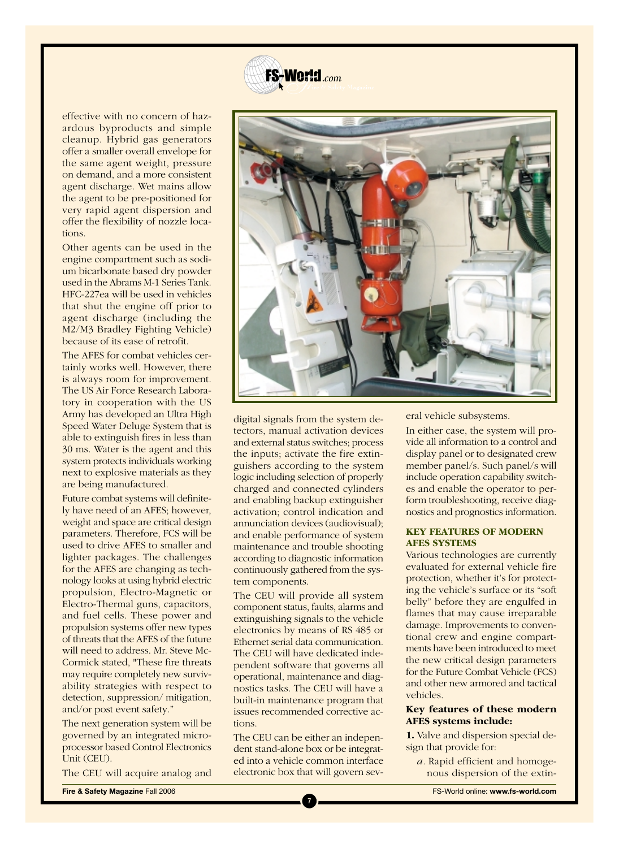

effective with no concern of hazardous byproducts and simple cleanup. Hybrid gas generators offer a smaller overall envelope for the same agent weight, pressure on demand, and a more consistent agent discharge. Wet mains allow the agent to be pre-positioned for very rapid agent dispersion and offer the flexibility of nozzle locations.

Other agents can be used in the engine compartment such as sodium bicarbonate based dry powder used in the Abrams M-1 Series Tank. HFC-227ea will be used in vehicles that shut the engine off prior to agent discharge (including the M2/M3 Bradley Fighting Vehicle) because of its ease of retrofit.

The AFES for combat vehicles certainly works well. However, there is always room for improvement. The US Air Force Research Laboratory in cooperation with the US Army has developed an Ultra High Speed Water Deluge System that is able to extinguish fires in less than 30 ms. Water is the agent and this system protects individuals working next to explosive materials as they are being manufactured.

Future combat systems will definitely have need of an AFES; however, weight and space are critical design parameters. Therefore, FCS will be used to drive AFES to smaller and lighter packages. The challenges for the AFES are changing as technology looks at using hybrid electric propulsion, Electro-Magnetic or Electro-Thermal guns, capacitors, and fuel cells. These power and propulsion systems offer new types of threats that the AFES of the future will need to address. Mr. Steve Mc-Cormick stated, "These fire threats may require completely new survivability strategies with respect to detection, suppression/ mitigation, and/or post event safety."

The next generation system will be governed by an integrated microprocessor based Control Electronics Unit (CEU).

The CEU will acquire analog and



digital signals from the system detectors, manual activation devices and external status switches; process the inputs; activate the fire extinguishers according to the system logic including selection of properly charged and connected cylinders and enabling backup extinguisher activation; control indication and annunciation devices (audiovisual); and enable performance of system maintenance and trouble shooting according to diagnostic information continuously gathered from the system components.

The CEU will provide all system component status, faults, alarms and extinguishing signals to the vehicle electronics by means of RS 485 or Ethernet serial data communication. The CEU will have dedicated independent software that governs all operational, maintenance and diagnostics tasks. The CEU will have a built-in maintenance program that issues recommended corrective actions.

The CEU can be either an independent stand-alone box or be integrated into a vehicle common interface electronic box that will govern sev-

**7**

eral vehicle subsystems.

In either case, the system will provide all information to a control and display panel or to designated crew member panel/s. Such panel/s will include operation capability switches and enable the operator to perform troubleshooting, receive diagnostics and prognostics information.

#### **KEY FEATURES OF MODERN AFES SYSTEMS**

Various technologies are currently evaluated for external vehicle fire protection, whether it's for protecting the vehicle's surface or its "soft belly" before they are engulfed in flames that may cause irreparable damage. Improvements to conventional crew and engine compartments have been introduced to meet the new critical design parameters for the Future Combat Vehicle (FCS) and other new armored and tactical vehicles.

#### **Key features of these modern AFES systems include:**

**1.** Valve and dispersion special design that provide for:

*a.* Rapid efficient and homogenous dispersion of the extin-